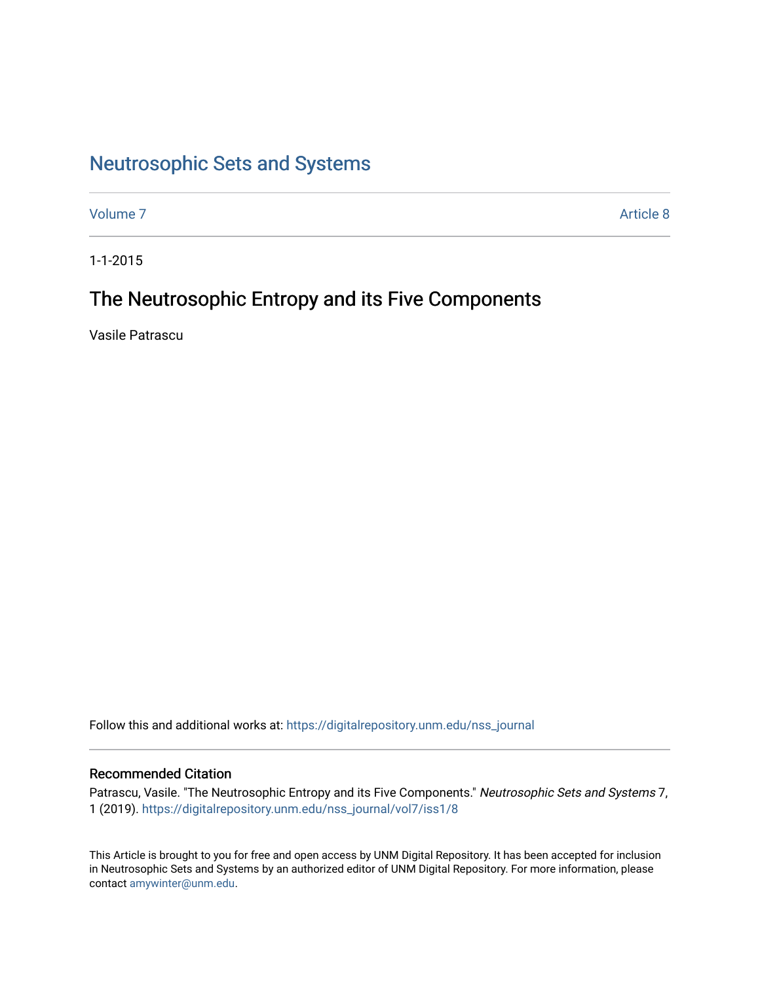# [Neutrosophic Sets and Systems](https://digitalrepository.unm.edu/nss_journal)

[Volume 7](https://digitalrepository.unm.edu/nss_journal/vol7) Article 8

1-1-2015

## The Neutrosophic Entropy and its Five Components

Vasile Patrascu

Follow this and additional works at: [https://digitalrepository.unm.edu/nss\\_journal](https://digitalrepository.unm.edu/nss_journal?utm_source=digitalrepository.unm.edu%2Fnss_journal%2Fvol7%2Fiss1%2F8&utm_medium=PDF&utm_campaign=PDFCoverPages) 

## Recommended Citation

Patrascu, Vasile. "The Neutrosophic Entropy and its Five Components." Neutrosophic Sets and Systems 7, 1 (2019). [https://digitalrepository.unm.edu/nss\\_journal/vol7/iss1/8](https://digitalrepository.unm.edu/nss_journal/vol7/iss1/8?utm_source=digitalrepository.unm.edu%2Fnss_journal%2Fvol7%2Fiss1%2F8&utm_medium=PDF&utm_campaign=PDFCoverPages)

This Article is brought to you for free and open access by UNM Digital Repository. It has been accepted for inclusion in Neutrosophic Sets and Systems by an authorized editor of UNM Digital Repository. For more information, please contact [amywinter@unm.edu](mailto:amywinter@unm.edu).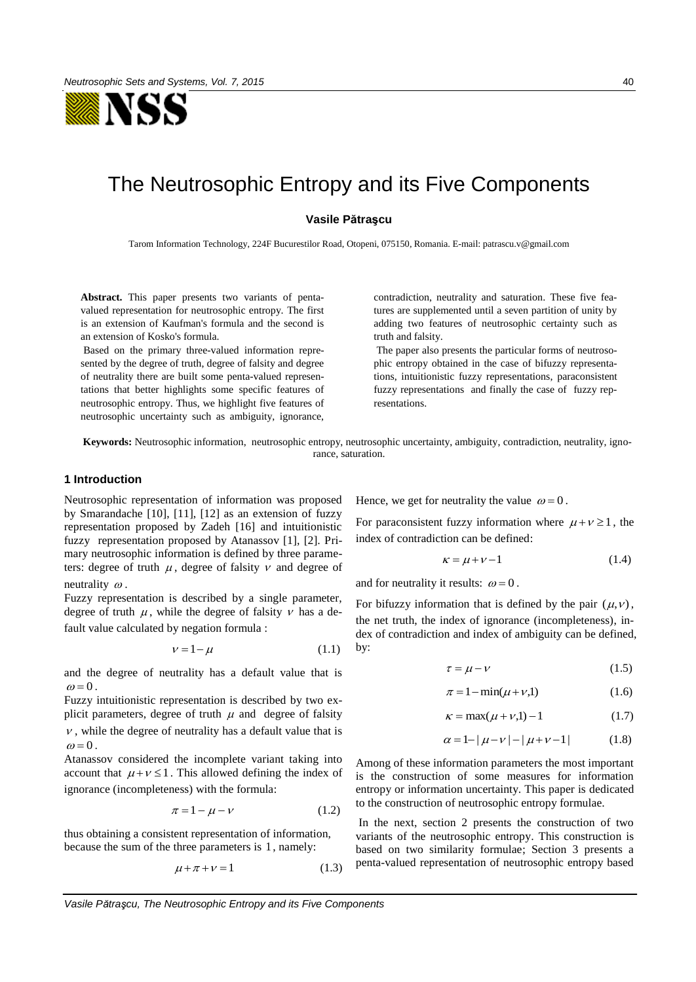

# The Neutrosophic Entropy and its Five Components

#### **Vasile Pătraşcu**

Tarom Information Technology, 224F Bucurestilor Road, Otopeni, 075150, Romania. E-mail: patrascu.v@gmail.com

**Abstract.** This paper presents two variants of pentavalued representation for neutrosophic entropy. The first is an extension of Kaufman's formula and the second is an extension of Kosko's formula.

 Based on the primary three-valued information represented by the degree of truth, degree of falsity and degree of neutrality there are built some penta-valued representations that better highlights some specific features of neutrosophic entropy. Thus, we highlight five features of neutrosophic uncertainty such as ambiguity, ignorance,

contradiction, neutrality and saturation. These five features are supplemented until a seven partition of unity by adding two features of neutrosophic certainty such as truth and falsity.

 The paper also presents the particular forms of neutrosophic entropy obtained in the case of bifuzzy representations, intuitionistic fuzzy representations, paraconsistent fuzzy representations and finally the case of fuzzy representations.

**Keywords:** Neutrosophic information, neutrosophic entropy, neutrosophic uncertainty, ambiguity, contradiction, neutrality, ignorance, saturation.

### **1 Introduction**

Neutrosophic representation of information was proposed by Smarandache [10], [11], [12] as an extension of fuzzy representation proposed by Zadeh [16] and intuitionistic fuzzy representation proposed by Atanassov [1], [2]. Primary neutrosophic information is defined by three parameters: degree of truth  $\mu$ , degree of falsity  $\nu$  and degree of neutrality  $\omega$ .

Fuzzy representation is described by a single parameter, degree of truth  $\mu$ , while the degree of falsity  $\nu$  has a default value calculated by negation formula :

$$
\nu = 1 - \mu \tag{1.1}
$$

and the degree of neutrality has a default value that is  $\omega = 0$ 

Fuzzy intuitionistic representation is described by two explicit parameters, degree of truth  $\mu$  and degree of falsity  $\nu$ , while the degree of neutrality has a default value that is  $\omega = 0$ .

Atanassov considered the incomplete variant taking into account that  $\mu + \nu \leq 1$ . This allowed defining the index of ignorance (incompleteness) with the formula:

$$
\pi = 1 - \mu - \nu \tag{1.2}
$$

thus obtaining a consistent representation of information, because the sum of the three parameters is 1 , namely:

$$
\mu + \pi + \nu = 1 \tag{1.3}
$$

Hence, we get for neutrality the value  $\omega = 0$ .

For paraconsistent fuzzy information where  $\mu + \nu \ge 1$ , the index of contradiction can be defined:

$$
\kappa = \mu + \nu - 1 \tag{1.4}
$$

and for neutrality it results:  $\omega = 0$ .

For bifuzzy information that is defined by the pair  $(\mu, \nu)$ , the net truth, the index of ignorance (incompleteness), index of contradiction and index of ambiguity can be defined, by:

$$
\tau = \mu - \nu \tag{1.5}
$$

$$
\pi = 1 - \min(\mu + \nu, 1) \tag{1.6}
$$

$$
\kappa = \max(\mu + \nu, 1) - 1 \tag{1.7}
$$

$$
\alpha = 1 - |\mu - \nu| - |\mu + \nu - 1| \tag{1.8}
$$

Among of these information parameters the most important is the construction of some measures for information entropy or information uncertainty. This paper is dedicated to the construction of neutrosophic entropy formulae.

 In the next, section 2 presents the construction of two variants of the neutrosophic entropy. This construction is based on two similarity formulae; Section 3 presents a penta-valued representation of neutrosophic entropy based

*Vasile Pătraşcu, The Neutrosophic Entropy and its Five Components*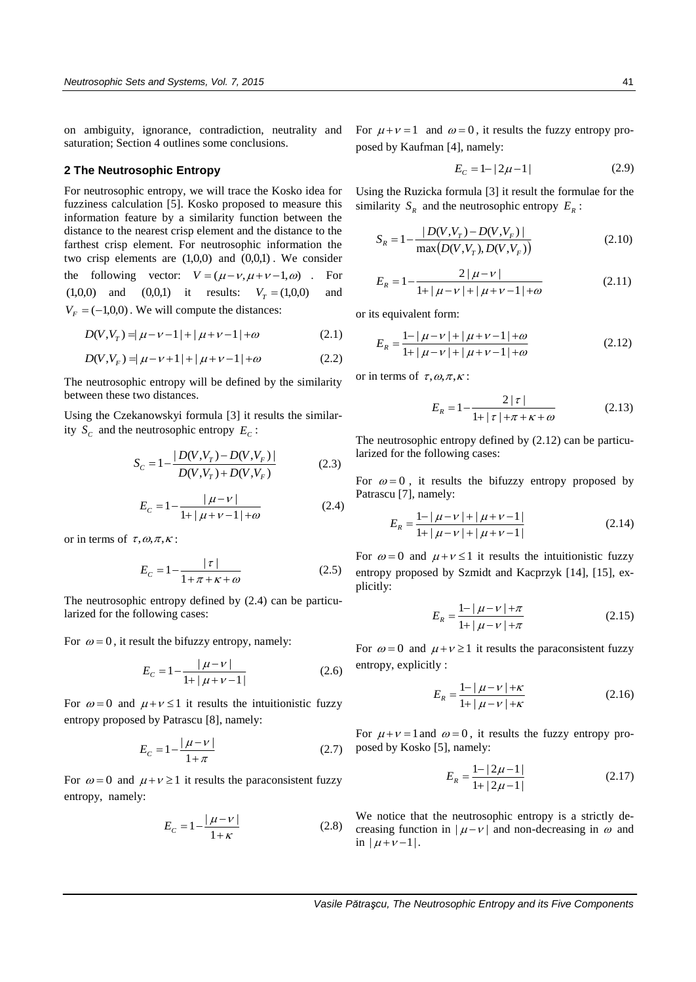on ambiguity, ignorance, contradiction, neutrality and saturation; Section 4 outlines some conclusions.

#### **2 The Neutrosophic Entropy**

For neutrosophic entropy, we will trace the Kosko idea for fuzziness calculation [5]. Kosko proposed to measure this information feature by a similarity function between the distance to the nearest crisp element and the distance to the farthest crisp element. For neutrosophic information the two crisp elements are  $(1,0,0)$  and  $(0,0,1)$ . We consider the following vector:  $V = (\mu - \nu, \mu + \nu - 1, \omega)$ . For  $(1,0,0)$  and  $(0,0,1)$  it results:  $V_T = (1,0,0)$  and  $V_F = (-1,0,0)$ . We will compute the distances:

$$
D(V, V_T) = |\mu - \nu - 1| + |\mu + \nu - 1| + \omega \tag{2.1}
$$

$$
D(V, V_F) = |\mu - \nu + 1| + |\mu + \nu - 1| + \omega \tag{2.2}
$$

The neutrosophic entropy will be defined by the similarity between these two distances.

Using the Czekanowskyi formula [3] it results the similarity  $S_c$  and the neutrosophic entropy  $E_c$ :

$$
S_C = 1 - \frac{|D(V, V_T) - D(V, V_F)|}{D(V, V_T) + D(V, V_F)}
$$
(2.3)

$$
E_C = 1 - \frac{|\mu - \nu|}{1 + |\mu + \nu - 1| + \omega} \tag{2.4}
$$

or in terms of  $\tau, \omega, \pi, \kappa$ :

$$
E_C = 1 - \frac{|\tau|}{1 + \pi + \kappa + \omega} \tag{2.5}
$$

The neutrosophic entropy defined by (2.4) can be particularized for the following cases:

For  $\omega = 0$ , it result the bifuzzy entropy, namely:

$$
E_C = 1 - \frac{|\mu - \nu|}{1 + |\mu + \nu - 1|} \tag{2.6}
$$

For  $\omega = 0$  and  $\mu + \nu \le 1$  it results the intuitionistic fuzzy entropy proposed by Patrascu [8], namely:

$$
E_C = 1 - \frac{|\mu - \nu|}{1 + \pi} \tag{2.7}
$$

For  $\omega = 0$  and  $\mu + \nu \ge 1$  it results the paraconsistent fuzzy entropy, namely:

$$
E_C = 1 - \frac{|\mu - \nu|}{1 + \kappa} \tag{2.8}
$$

For  $\mu + \nu = 1$  and  $\omega = 0$ , it results the fuzzy entropy proposed by Kaufman [4], namely:

$$
E_C = 1 - |2\mu - 1| \tag{2.9}
$$

Using the Ruzicka formula [3] it result the formulae for the similarity  $S_R$  and the neutrosophic entropy  $E_R$ :

$$
S_R = 1 - \frac{|D(V, V_r) - D(V, V_F)|}{\max(D(V, V_r), D(V, V_F))}
$$
\n(2.10)

$$
E_R = 1 - \frac{2|\mu - \nu|}{1 + |\mu - \nu| + |\mu + \nu - 1| + \omega} \tag{2.11}
$$

or its equivalent form:

$$
E_R = \frac{1 - |\mu - \nu| + |\mu + \nu - 1| + \omega}{1 + |\mu - \nu| + |\mu + \nu - 1| + \omega} \tag{2.12}
$$

or in terms of  $\tau, \omega, \pi, \kappa$ :

$$
E_R = 1 - \frac{2|\tau|}{1 + |\tau| + \pi + \kappa + \omega} \tag{2.13}
$$

The neutrosophic entropy defined by (2.12) can be particularized for the following cases:

For  $\omega = 0$ , it results the bifuzzy entropy proposed by Patrascu [7], namely:

$$
E_R = \frac{1 - |\mu - \nu| + |\mu + \nu - 1|}{1 + |\mu - \nu| + |\mu + \nu - 1|}
$$
\n(2.14)

For  $\omega = 0$  and  $\mu + \nu \le 1$  it results the intuitionistic fuzzy entropy proposed by Szmidt and Kacprzyk [14], [15], explicitly:

$$
E_R = \frac{1 - |\mu - \nu| + \pi}{1 + |\mu - \nu| + \pi} \tag{2.15}
$$

For  $\omega = 0$  and  $\mu + \nu \ge 1$  it results the paraconsistent fuzzy entropy, explicitly :

$$
E_R = \frac{1 - |\mu - \nu| + \kappa}{1 + |\mu - \nu| + \kappa} \tag{2.16}
$$

For  $\mu + \nu = 1$  and  $\omega = 0$ , it results the fuzzy entropy proposed by Kosko [5], namely:

$$
E_R = \frac{1 - |2\mu - 1|}{1 + |2\mu - 1|} \tag{2.17}
$$

We notice that the neutrosophic entropy is a strictly decreasing function in  $|\mu - \nu|$  and non-decreasing in  $\omega$  and in  $|\mu+\nu-1|$ .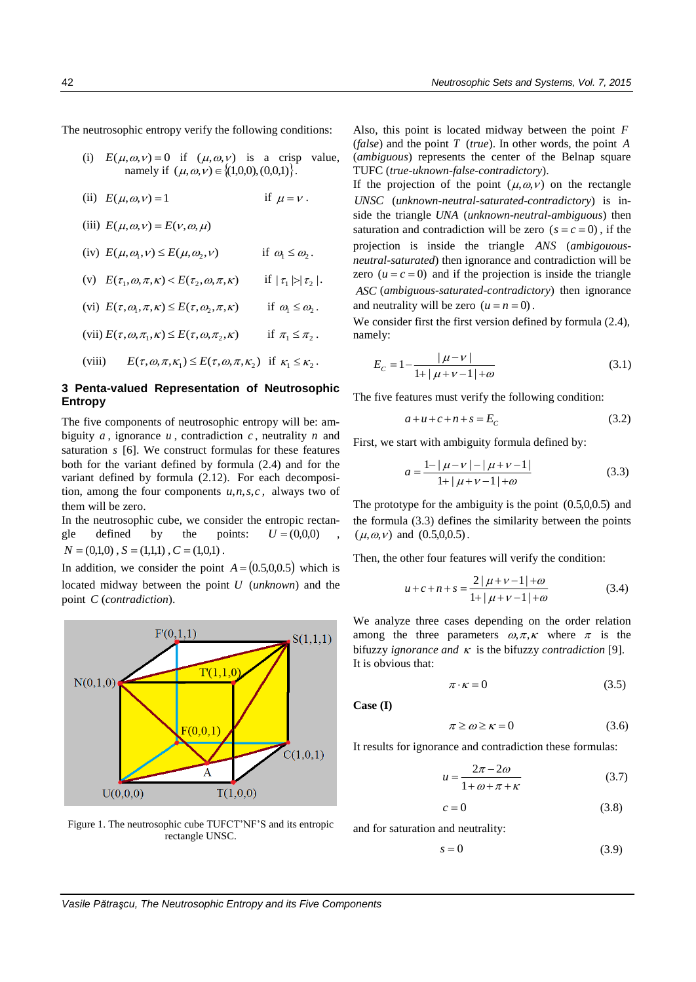The neutrosophic entropy verify the following conditions:

- (i)  $E(\mu, \omega, \nu) = 0$  if  $(\mu, \omega, \nu)$  is a crisp value,  $(a, \omega, v) = 0$  if  $(\mu, \omega, v)$  is a crisp<br>namely if  $(\mu, \omega, v) \in \{(1,0,0), (0,0,1)\}.$
- (ii)  $E(\mu, \omega, v) = 1$  if if  $\mu = v$ .
- (iii)  $E(\mu, \omega, \nu) = E(\nu, \omega, \mu)$
- (iv)  $E(\mu, \omega_1, \nu) \le E(\mu, \omega_2, \nu)$ if  $\omega_1 \leq \omega_2$ .
- (v)  $E(\tau_1,\omega,\pi,\kappa) < E(\tau_2,\omega,\pi,\kappa)$  if  $|\tau_1\triangleright|\tau_2|$  .
- (vi)  $E(\tau, \omega_1, \pi, \kappa) \le E(\tau, \omega_2, \pi, \kappa)$  if  $\omega_{\!\scriptscriptstyle 1} \le \omega_{\!\scriptscriptstyle 2}$  .
- (vii)  $E(\tau, \omega, \pi_1, \kappa) \le E(\tau, \omega, \pi_2, \kappa)$  if  $\pi_1 \leq \pi_2$ .
- (viii)  $E(\tau, \omega,\pi,\kappa_1) \leq E(\tau, \omega,\pi,\kappa_2)$  if  $\kappa_1 \leq \kappa_2$ .

#### **3 Penta-valued Representation of Neutrosophic Entropy**

The five components of neutrosophic entropy will be: ambiguity  $a$ , ignorance  $u$ , contradiction  $c$ , neutrality  $n$  and saturation *s* [6]. We construct formulas for these features both for the variant defined by formula (2.4) and for the variant defined by formula (2.12). For each decomposition, among the four components  $u, n, s, c$ , always two of them will be zero.

In the neutrosophic cube, we consider the entropic rectangle defined by the points:  $U = (0,0,0)$  $N = (0,1,0)$ ,  $S = (1,1,1)$ ,  $C = (1,0,1)$ .

In addition, we consider the point  $A = (0.5, 0.0, 0.5)$  which is located midway between the point *U* (*unknown*) and the point *C* (*contradiction*).



Figure 1. The neutrosophic cube TUFCT'NF'S and its entropic rectangle UNSC.

Also, this point is located midway between the point *F* (*false*) and the point *T* (*true*). In other words, the point *A* (*ambiguous*) represents the center of the Belnap square TUFC (*true-uknown-false-contradictory*).

If the projection of the point  $(\mu, \omega, \nu)$  on the rectangle *UNSC* (*unknown-neutral-saturated-contradictory*) is inside the triangle *UNA* (*unknown-neutral-ambiguous*) then saturation and contradiction will be zero  $(s = c = 0)$ , if the projection is inside the triangle *ANS* (*ambigouousneutral-saturated*) then ignorance and contradiction will be zero  $(u = c = 0)$  and if the projection is inside the triangle *ASC* (*ambiguous-saturated-contradictory*) then ignorance and neutrality will be zero  $(u = n = 0)$ .

We consider first the first version defined by formula  $(2.4)$ , namely:

$$
E_C = 1 - \frac{|\mu - \nu|}{1 + |\mu + \nu - 1| + \omega} \tag{3.1}
$$

The five features must verify the following condition:

$$
a+u+c+n+s=E_c \tag{3.2}
$$

First, we start with ambiguity formula defined by:

$$
a = \frac{1 - |\mu - \nu| - |\mu + \nu - 1|}{1 + |\mu + \nu - 1| + \omega} \tag{3.3}
$$

The prototype for the ambiguity is the point  $(0.5, 0.0, 0.5)$  and the formula (3.3) defines the similarity between the points  $(\mu, \omega, \nu)$  and  $(0.5, 0.0, 0.5)$ .

Then, the other four features will verify the condition:

$$
u + c + n + s = \frac{2|\mu + \nu - 1| + \omega}{1 + |\mu + \nu - 1| + \omega} \tag{3.4}
$$

We analyze three cases depending on the order relation among the three parameters  $\omega, \pi, \kappa$  where  $\pi$  is the bifuzzy *ignorance and*  $\kappa$  is the bifuzzy *contradiction* [9]. It is obvious that:

$$
\pi \cdot \kappa = 0 \tag{3.5}
$$

**Case (I)** 

$$
\pi \ge \omega \ge \kappa = 0 \tag{3.6}
$$

It results for ignorance and contradiction these formulas:

$$
u = \frac{2\pi - 2\omega}{1 + \omega + \pi + \kappa} \tag{3.7}
$$

$$
c = 0 \tag{3.8}
$$

and for saturation and neutrality:

$$
s = 0 \tag{3.9}
$$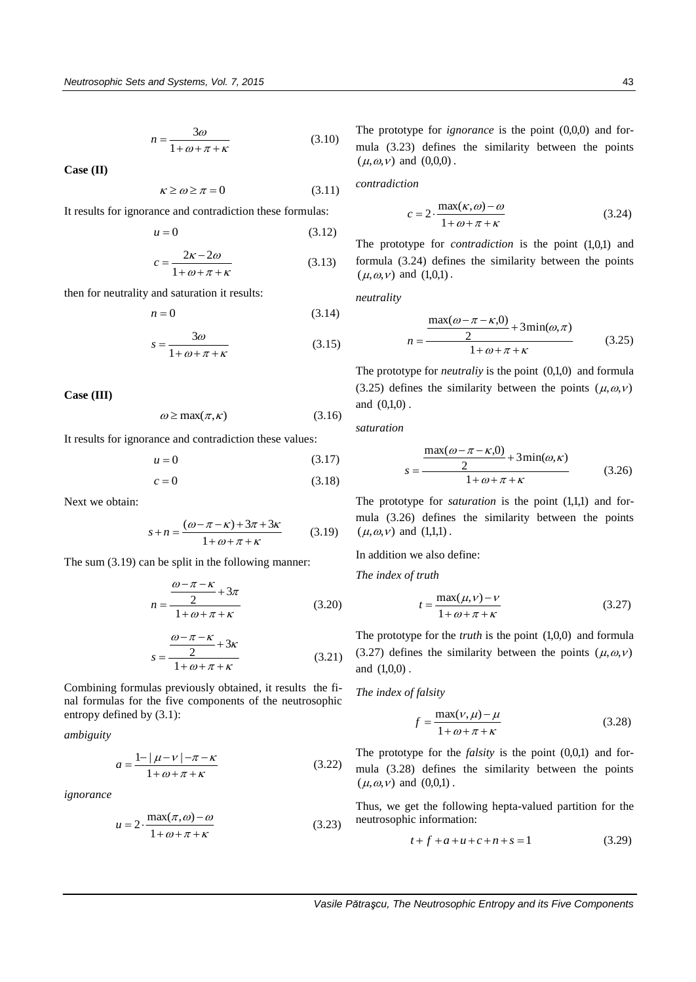$$
n = \frac{3\omega}{1 + \omega + \pi + \kappa} \tag{3.10}
$$

**Case (II)** 

$$
\kappa \ge \omega \ge \pi = 0 \tag{3.11}
$$

It results for ignorance and contradiction these formulas:

$$
u = 0 \tag{3.12}
$$

$$
c = \frac{2\kappa - 2\omega}{1 + \omega + \pi + \kappa} \tag{3.13}
$$

then for neutrality and saturation it results:

$$
n = 0 \tag{3.14}
$$

$$
s = \frac{3\omega}{1 + \omega + \pi + \kappa} \tag{3.15}
$$

**Case (III)** 

$$
\omega \ge \max(\pi, \kappa) \tag{3.16}
$$

It results for ignorance and contradiction these values:

$$
u = 0 \tag{3.17}
$$

$$
c = 0 \tag{3.18}
$$

Next we obtain:

$$
s + n = \frac{(\omega - \pi - \kappa) + 3\pi + 3\kappa}{1 + \omega + \pi + \kappa} \tag{3.19}
$$

The sum (3.19) can be split in the following manner:

$$
n = \frac{\frac{\omega - \pi - \kappa}{2} + 3\pi}{1 + \omega + \pi + \kappa}
$$
 (3.20)

$$
s = \frac{\frac{\omega - \pi - \kappa}{2} + 3\kappa}{1 + \omega + \pi + \kappa}
$$
 (3.21)

Combining formulas previously obtained, it results the final formulas for the five components of the neutrosophic entropy defined by (3.1):

*ambiguity* 

$$
a = \frac{1 - |\mu - \nu| - \pi - \kappa}{1 + \omega + \pi + \kappa}
$$
 (3.22)

*ignorance*

$$
u = 2 \cdot \frac{\max(\pi, \omega) - \omega}{1 + \omega + \pi + \kappa} \tag{3.23}
$$

The prototype for  $\mathit{ignore}$  is the point  $(0,0,0)$  and formula (3.23) defines the similarity between the points  $(\mu, \omega, \nu)$  and  $(0,0,0)$ .

*contradiction* 

$$
c = 2 \cdot \frac{\max(\kappa, \omega) - \omega}{1 + \omega + \pi + \kappa} \tag{3.24}
$$

The prototype for *contradiction* is the point (1,0,1) and formula (3.24) defines the similarity between the points  $(\mu, \omega, \nu)$  and  $(1,0,1)$ .

*neutrality* 

$$
n = \frac{\frac{\max(\omega - \pi - \kappa, 0)}{2} + 3\min(\omega, \pi)}{1 + \omega + \pi + \kappa}
$$
(3.25)

The prototype for *neutraliy* is the point  $(0,1,0)$  and formula (3.25) defines the similarity between the points  $(\mu, \omega, \nu)$ and  $(0,1,0)$ .

*saturation* 

$$
s = \frac{\frac{\max(\omega - \pi - \kappa,0)}{2} + 3\min(\omega,\kappa)}{1 + \omega + \pi + \kappa}
$$
 (3.26)

The prototype for *saturation* is the point  $(1,1,1)$  and formula (3.26) defines the similarity between the points  $(\mu, \omega, \nu)$  and  $(1,1,1)$ .

In addition we also define:

*The index of truth*

$$
t = \frac{\max(\mu, \nu) - \nu}{1 + \omega + \pi + \kappa} \tag{3.27}
$$

The prototype for the *truth* is the point  $(1,0,0)$  and formula (3.27) defines the similarity between the points  $(\mu, \omega, \nu)$ and  $(1,0,0)$ .

#### *The index of falsity*

$$
f = \frac{\max(\nu, \mu) - \mu}{1 + \omega + \pi + \kappa} \tag{3.28}
$$

The prototype for the  $falsity$  is the point  $(0,0,1)$  and formula (3.28) defines the similarity between the points  $(\mu, \omega, \nu)$  and  $(0,0,1)$ .

Thus, we get the following hepta-valued partition for the neutrosophic information:

$$
t + f + a + u + c + n + s = 1 \tag{3.29}
$$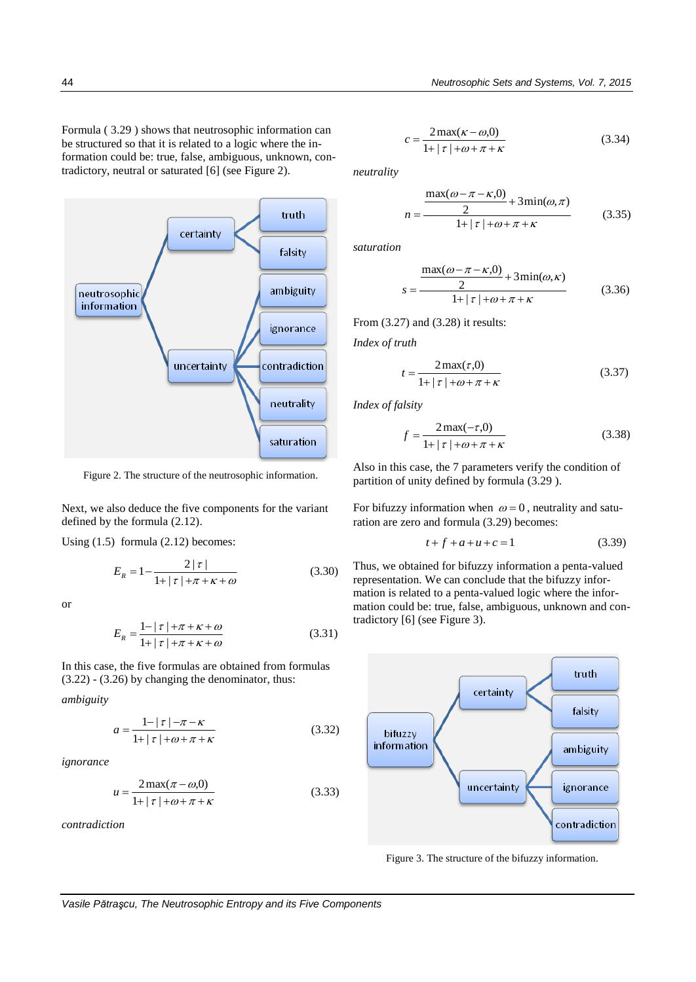Formula ( 3.29 ) shows that neutrosophic information can be structured so that it is related to a logic where the information could be: true, false, ambiguous, unknown, contradictory, neutral or saturated [6] (see Figure 2).



Figure 2. The structure of the neutrosophic information.

Next, we also deduce the five components for the variant defined by the formula (2.12).

Using (1.5) formula (2.12) becomes:

$$
E_R = 1 - \frac{2|\tau|}{1 + |\tau| + \pi + \kappa + \omega}
$$
 (3.30)

or

$$
E_R = \frac{1 - |\tau| + \pi + \kappa + \omega}{1 + |\tau| + \pi + \kappa + \omega} \tag{3.31}
$$

In this case, the five formulas are obtained from formulas (3.22) - (3.26) by changing the denominator, thus:

*ambiguity* 

$$
a = \frac{1 - |\tau| - \pi - \kappa}{1 + |\tau| + \omega + \pi + \kappa} \tag{3.32}
$$

*ignorance*

$$
u = \frac{2\max(\pi - \omega, 0)}{1 + |\tau| + \omega + \pi + \kappa}
$$
(3.33)

*contradiction*

$$
c = \frac{2\max(\kappa - \omega, 0)}{1 + |\tau| + \omega + \pi + \kappa} \tag{3.34}
$$

*neutrality* 

$$
n = \frac{\frac{\max(\omega - \pi - \kappa, 0)}{2} + 3\min(\omega, \pi)}{1 + |\tau| + \omega + \pi + \kappa}
$$
(3.35)

*saturation*

$$
s = \frac{\frac{\max(\omega - \pi - \kappa, 0)}{2} + 3\min(\omega, \kappa)}{1 + |\tau| + \omega + \pi + \kappa}
$$
(3.36)

From (3.27) and (3.28) it results:

*Index of truth* 

$$
t = \frac{2\max(\tau,0)}{1 + |\tau| + \omega + \pi + \kappa} \tag{3.37}
$$

*Index of falsity* 

$$
f = \frac{2\max(-\tau,0)}{1 + |\tau| + \omega + \pi + \kappa}
$$
 (3.38)

Also in this case, the 7 parameters verify the condition of partition of unity defined by formula (3.29 ).

For bifuzzy information when  $\omega = 0$ , neutrality and saturation are zero and formula (3.29) becomes:

$$
t + f + a + u + c = 1 \tag{3.39}
$$

Thus, we obtained for bifuzzy information a penta-valued representation. We can conclude that the bifuzzy information is related to a penta-valued logic where the information could be: true, false, ambiguous, unknown and contradictory [6] (see Figure 3).



Figure 3. The structure of the bifuzzy information.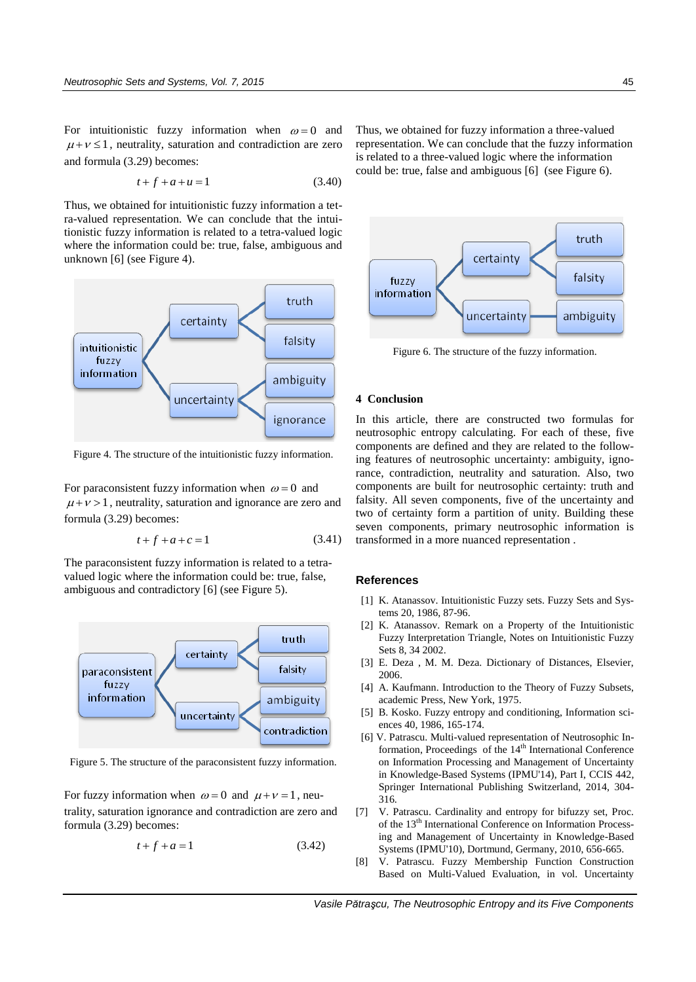For intuitionistic fuzzy information when  $\omega = 0$  and  $\mu + \nu \leq 1$ , neutrality, saturation and contradiction are zero and formula (3.29) becomes:

$$
t + f + a + u = 1 \tag{3.40}
$$

Thus, we obtained for intuitionistic fuzzy information a tetra-valued representation. We can conclude that the intuitionistic fuzzy information is related to a tetra-valued logic where the information could be: true, false, ambiguous and unknown [6] (see Figure 4).



Figure 4. The structure of the intuitionistic fuzzy information.

For paraconsistent fuzzy information when  $\omega = 0$  and  $\mu + \nu > 1$ , neutrality, saturation and ignorance are zero and formula (3.29) becomes:

$$
t + f + a + c = 1 \tag{3.41}
$$

The paraconsistent fuzzy information is related to a tetravalued logic where the information could be: true, false, ambiguous and contradictory [6] (see Figure 5).



Figure 5. The structure of the paraconsistent fuzzy information.

For fuzzy information when  $\omega = 0$  and  $\mu + \nu = 1$ , neutrality, saturation ignorance and contradiction are zero and formula (3.29) becomes:

$$
t + f + a = 1 \tag{3.42}
$$

Thus, we obtained for fuzzy information a three-valued representation. We can conclude that the fuzzy information is related to a three-valued logic where the information could be: true, false and ambiguous [6] (see Figure 6).



Figure 6. The structure of the fuzzy information.

#### **4 Conclusion**

In this article, there are constructed two formulas for neutrosophic entropy calculating. For each of these, five components are defined and they are related to the following features of neutrosophic uncertainty: ambiguity, ignorance, contradiction, neutrality and saturation. Also, two components are built for neutrosophic certainty: truth and falsity. All seven components, five of the uncertainty and two of certainty form a partition of unity. Building these seven components, primary neutrosophic information is transformed in a more nuanced representation .

#### **References**

- [1] K. Atanassov. Intuitionistic Fuzzy sets. Fuzzy Sets and Systems 20, 1986, 87-96.
- [2] K. Atanassov. Remark on a Property of the Intuitionistic Fuzzy Interpretation Triangle, Notes on Intuitionistic Fuzzy Sets 8, 34 2002.
- [3] E. Deza , M. M. Deza. Dictionary of Distances, Elsevier, 2006.
- [4] A. Kaufmann. Introduction to the Theory of Fuzzy Subsets, academic Press, New York, 1975.
- [5] B. Kosko. Fuzzy entropy and conditioning, Information sciences 40, 1986, 165-174.
- [6] V. Patrascu. Multi-valued representation of Neutrosophic Information, Proceedings of the 14<sup>th</sup> International Conference on Information Processing and Management of Uncertainty in Knowledge-Based Systems (IPMU'14), Part I, CCIS 442, Springer International Publishing Switzerland, 2014, 304- 316.
- [7] V. Patrascu. Cardinality and entropy for bifuzzy set, Proc. of the 13<sup>th</sup> International Conference on Information Processing and Management of Uncertainty in Knowledge-Based Systems (IPMU'10), Dortmund, Germany, 2010, 656-665.
- [8] V. Patrascu. Fuzzy Membership Function Construction Based on Multi-Valued Evaluation, in vol. Uncertainty